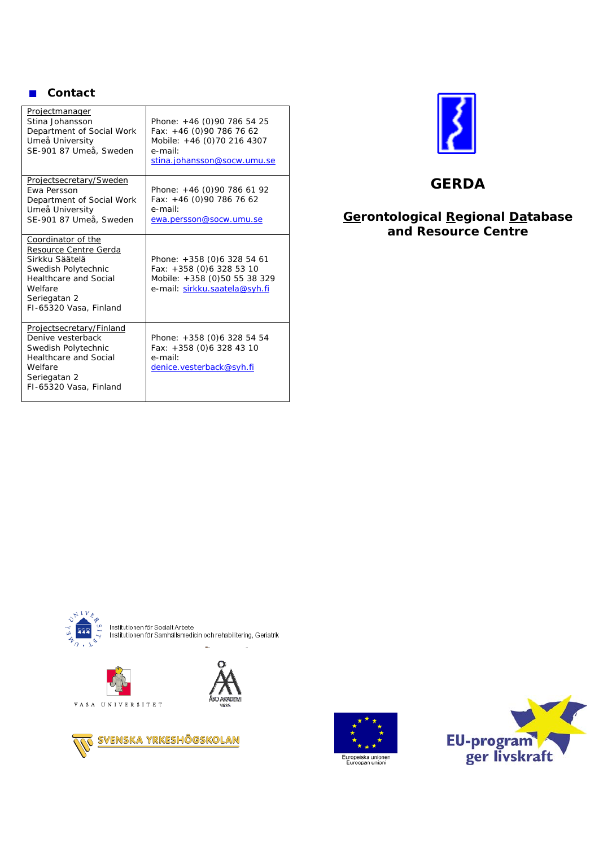#### **Contact**

| <u>Projectmanager</u><br>Stina Johansson<br>Department of Social Work<br>Umeå University<br>SE-901 87 Umeå, Sweden                                                        | Phone: +46 (0)90 786 54 25<br>Fax: +46 (0)90 786 76 62<br>Mobile: +46 (0)70 216 4307<br>e-mail:<br>stina.johansson@socw.umu.se |
|---------------------------------------------------------------------------------------------------------------------------------------------------------------------------|--------------------------------------------------------------------------------------------------------------------------------|
| Projectsecretary/Sweden<br><b>Fwa Persson</b><br>Department of Social Work<br>Umeå University<br>SE-901 87 Umeå, Sweden                                                   | Phone: $+46$ (0)90 786 61 92<br>Fax: +46 (0)90 786 76 62<br>e-mail:<br>ewa.persson@socw.umu.se                                 |
| Coordinator of the<br>Resource Centre Gerda<br>Sirkku Säätelä<br>Swedish Polytechnic<br><b>Healthcare and Social</b><br>Welfare<br>Seriegatan 2<br>FI-65320 Vasa, Finland | Phone: +358 (0)6 328 54 61<br>Fax: +358 (0)6 328 53 10<br>Mobile: +358 (0)50 55 38 329<br>e-mail: sirkku.saatela@syh.fi        |
| Projectsecretary/Finland<br>Denive vesterback<br>Swedish Polytechnic<br><b>Healthcare and Social</b><br>Welfare<br>Seriegatan 2<br>FI-65320 Vasa, Finland                 | Phone: +358 (0)6 328 54 54<br>Fax: +358 (0)6 328 43 10<br>e-mail:<br>denice.vesterback@syh.fi                                  |



# **GERDA**

## **Gerontological Regional Database and Resource Centre**